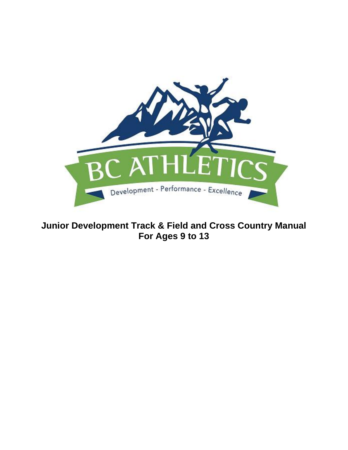

# **Junior Development Track & Field and Cross Country Manual For Ages 9 to 13**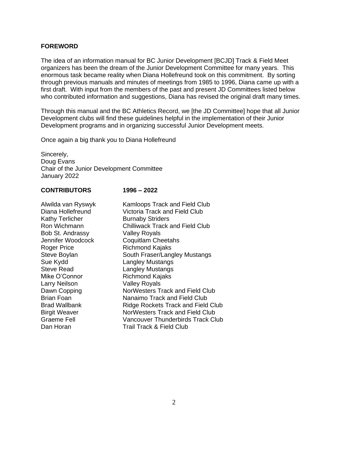#### **FOREWORD**

The idea of an information manual for BC Junior Development [BCJD] Track & Field Meet organizers has been the dream of the Junior Development Committee for many years. This enormous task became reality when Diana Hollefreund took on this commitment. By sorting through previous manuals and minutes of meetings from 1985 to 1996, Diana came up with a first draft. With input from the members of the past and present JD Committees listed below who contributed information and suggestions, Diana has revised the original draft many times.

Through this manual and the BC Athletics Record, we [the JD Committee] hope that all Junior Development clubs will find these guidelines helpful in the implementation of their Junior Development programs and in organizing successful Junior Development meets.

Once again a big thank you to Diana Hollefreund

Sincerely, Doug Evans Chair of the Junior Development Committee January 2022

#### **CONTRIBUTORS 1996 – 2022**

| Alwilda van Ryswyk<br>Diana Hollefreund<br><b>Kathy Terlicher</b> | <b>Kamloops Track and Field Club</b><br>Victoria Track and Field Club<br><b>Burnaby Striders</b> |
|-------------------------------------------------------------------|--------------------------------------------------------------------------------------------------|
| Ron Wichmann<br>Bob St. Andrassy                                  | <b>Chilliwack Track and Field Club</b><br><b>Valley Royals</b>                                   |
| Jennifer Woodcock                                                 | <b>Coquitlam Cheetahs</b>                                                                        |
| Roger Price                                                       | <b>Richmond Kajaks</b>                                                                           |
| Steve Boylan                                                      | South Fraser/Langley Mustangs                                                                    |
| Sue Kydd                                                          | <b>Langley Mustangs</b>                                                                          |
| <b>Steve Read</b>                                                 | <b>Langley Mustangs</b>                                                                          |
| Mike O'Connor                                                     | <b>Richmond Kajaks</b>                                                                           |
| <b>Larry Neilson</b>                                              | <b>Valley Royals</b>                                                                             |
| Dawn Copping                                                      | NorWesters Track and Field Club                                                                  |
| <b>Brian Foan</b>                                                 | Nanaimo Track and Field Club                                                                     |
| Brad Wallbank                                                     | Ridge Rockets Track and Field Club                                                               |
| <b>Birgit Weaver</b>                                              | NorWesters Track and Field Club                                                                  |
| <b>Graeme Fell</b>                                                | <b>Vancouver Thunderbirds Track Club</b>                                                         |
| Dan Horan                                                         | Trail Track & Field Club                                                                         |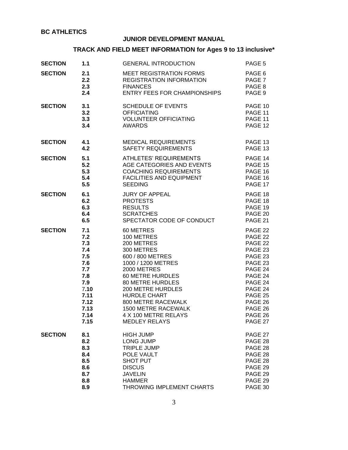## **JUNIOR DEVELOPMENT MANUAL**

# **TRACK AND FIELD MEET INFORMATION for Ages 9 to 13 inclusive\***

| <b>SECTION</b> | 1.1  | <b>GENERAL INTRODUCTION</b>         | PAGE 5            |
|----------------|------|-------------------------------------|-------------------|
| <b>SECTION</b> | 2.1  | <b>MEET REGISTRATION FORMS</b>      | PAGE 6            |
|                | 2.2  | <b>REGISTRATION INFORMATION</b>     | PAGE <sub>7</sub> |
|                | 2.3  | <b>FINANCES</b>                     | PAGE 8            |
|                | 2.4  | <b>ENTRY FEES FOR CHAMPIONSHIPS</b> | PAGE 9            |
| <b>SECTION</b> | 3.1  | <b>SCHEDULE OF EVENTS</b>           | PAGE 10           |
|                | 3.2  | <b>OFFICIATING</b>                  | PAGE 11           |
|                | 3.3  | <b>VOLUNTEER OFFICIATING</b>        | PAGE 11           |
|                | 3.4  | <b>AWARDS</b>                       | PAGE 12           |
| <b>SECTION</b> | 4.1  | <b>MEDICAL REQUIREMENTS</b>         | PAGE 13           |
|                | 4.2  | <b>SAFETY REQUIREMENTS</b>          | PAGE 13           |
| <b>SECTION</b> | 5.1  | <b>ATHLETES' REQUIREMENTS</b>       | PAGE 14           |
|                | 5.2  | AGE CATEGORIES AND EVENTS           | PAGE 15           |
|                | 5.3  | <b>COACHING REQUIREMENTS</b>        | PAGE 16           |
|                | 5.4  | <b>FACILITIES AND EQUIPMENT</b>     | PAGE 16           |
|                | 5.5  | <b>SEEDING</b>                      | PAGE 17           |
| <b>SECTION</b> | 6.1  | <b>JURY OF APPEAL</b>               | PAGE 18           |
|                | 6.2  | <b>PROTESTS</b>                     | PAGE 18           |
|                | 6.3  | <b>RESULTS</b>                      | PAGE 19           |
|                | 6.4  | <b>SCRATCHES</b>                    | PAGE 20           |
|                | 6.5  | SPECTATOR CODE OF CONDUCT           | PAGE 21           |
| <b>SECTION</b> | 7.1  | 60 METRES                           | PAGE 22           |
|                | 7.2  | 100 METRES                          | PAGE 22           |
|                | 7.3  | 200 METRES                          | PAGE 22           |
|                | 7.4  | 300 METRES                          | PAGE 23           |
|                | 7.5  | 600 / 800 METRES                    | PAGE 23           |
|                | 7.6  | 1000 / 1200 METRES                  | PAGE 23           |
|                | 7.7  | 2000 METRES                         | PAGE 24           |
|                | 7.8  | <b>60 METRE HURDLES</b>             | PAGE 24           |
|                | 7.9  | <b>80 METRE HURDLES</b>             | PAGE 24           |
|                | 7.10 | <b>200 METRE HURDLES</b>            | PAGE 24           |
|                | 7.11 | <b>HURDLE CHART</b>                 | PAGE 25           |
|                | 7.12 | 800 METRE RACEWALK                  | PAGE 26           |
|                | 7.13 | <b>1500 METRE RACEWALK</b>          | PAGE 26           |
|                | 7.14 | 4 X 100 METRE RELAYS                | PAGE 26           |
|                | 7.15 | <b>MEDLEY RELAYS</b>                | PAGE 27           |
| <b>SECTION</b> | 8.1  | <b>HIGH JUMP</b>                    | PAGE 27           |
|                | 8.2  | <b>LONG JUMP</b>                    | PAGE 28           |
|                | 8.3  | <b>TRIPLE JUMP</b>                  | PAGE 28           |
|                | 8.4  | POLE VAULT                          | PAGE 28           |
|                | 8.5  | <b>SHOT PUT</b>                     | PAGE 28           |
|                | 8.6  | <b>DISCUS</b>                       | PAGE 29           |
|                | 8.7  | <b>JAVELIN</b>                      | PAGE 29           |
|                | 8.8  | <b>HAMMER</b>                       | PAGE 29           |
|                | 8.9  | THROWING IMPLEMENT CHARTS           | PAGE 30           |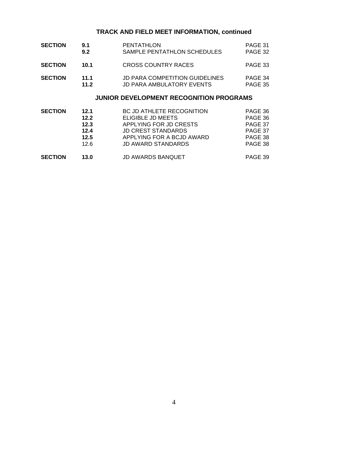## **TRACK AND FIELD MEET INFORMATION, continued**

| <b>SECTION</b> | 9.1  | <b>PENTATHLON</b>                     | PAGE 31 |
|----------------|------|---------------------------------------|---------|
|                | 9.2  | SAMPLE PENTATHLON SCHEDULES           | PAGE 32 |
| <b>SECTION</b> | 10.1 | CROSS COUNTRY RACES                   | PAGE 33 |
| <b>SECTION</b> | 11.1 | <b>JD PARA COMPETITION GUIDELINES</b> | PAGE 34 |
|                | 11.2 | <b>JD PARA AMBULATORY EVENTS</b>      | PAGE 35 |

## **JUNIOR DEVELOPMENT RECOGNITION PROGRAMS**

| <b>SECTION</b> | 12.1 | BC JD ATHLETE RECOGNITION | PAGE 36 |
|----------------|------|---------------------------|---------|
|                | 12.2 | ELIGIBLE JD MEETS         | PAGE 36 |
|                | 12.3 | APPLYING FOR JD CRESTS    | PAGE 37 |
|                | 12.4 | <b>JD CREST STANDARDS</b> | PAGE 37 |
|                | 12.5 | APPLYING FOR A BCJD AWARD | PAGE 38 |
|                | 126  | <b>JD AWARD STANDARDS</b> | PAGE 38 |
| <b>SECTION</b> | 13.0 | <b>JD AWARDS BANQUET</b>  | PAGE 39 |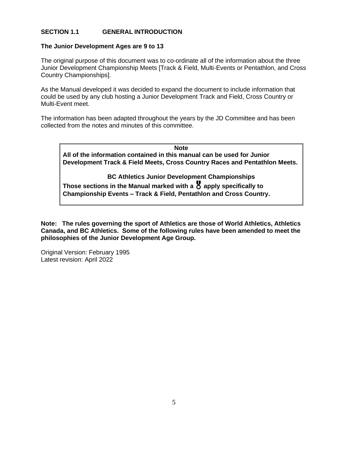## **SECTION 1.1 GENERAL INTRODUCTION**

#### **The Junior Development Ages are 9 to 13**

The original purpose of this document was to co-ordinate all of the information about the three Junior Development Championship Meets [Track & Field, Multi-Events or Pentathlon, and Cross Country Championships].

As the Manual developed it was decided to expand the document to include information that could be used by any club hosting a Junior Development Track and Field, Cross Country or Multi-Event meet.

The information has been adapted throughout the years by the JD Committee and has been collected from the notes and minutes of this committee.

**Note All of the information contained in this manual can be used for Junior Development Track & Field Meets, Cross Country Races and Pentathlon Meets.**

**BC Athletics Junior Development Championships Those sections in the Manual marked with a**  $\overline{Q}$  **apply specifically to Championship Events – Track & Field, Pentathlon and Cross Country.**

**Note: The rules governing the sport of Athletics are those of World Athletics, Athletics Canada, and BC Athletics. Some of the following rules have been amended to meet the philosophies of the Junior Development Age Group.**

Original Version: February 1995 Latest revision: April 2022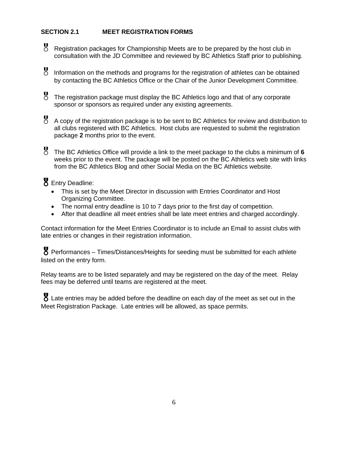## **SECTION 2.1 MEET REGISTRATION FORMS**

 Registration packages for Championship Meets are to be prepared by the host club in consultation with the JD Committee and reviewed by BC Athletics Staff prior to publishing.

 Information on the methods and programs for the registration of athletes can be obtained by contacting the BC Athletics Office or the Chair of the Junior Development Committee.

 The registration package must display the BC Athletics logo and that of any corporate sponsor or sponsors as required under any existing agreements.

 A copy of the registration package is to be sent to BC Athletics for review and distribution to all clubs registered with BC Athletics. Host clubs are requested to submit the registration package **2** months prior to the event.

 The BC Athletics Office will provide a link to the meet package to the clubs a minimum of **<sup>6</sup>** weeks prior to the event. The package will be posted on the BC Athletics web site with links from the BC Athletics Blog and other Social Media on the BC Athletics website.

**8** Entry Deadline:

- This is set by the Meet Director in discussion with Entries Coordinator and Host Organizing Committee.
- The normal entry deadline is 10 to 7 days prior to the first day of competition.
- After that deadline all meet entries shall be late meet entries and charged accordingly.

Contact information for the Meet Entries Coordinator is to include an Email to assist clubs with late entries or changes in their registration information.

 $\gamma$  Performances – Times/Distances/Heights for seeding must be submitted for each athlete listed on the entry form.

Relay teams are to be listed separately and may be registered on the day of the meet. Relay fees may be deferred until teams are registered at the meet.

**8** Late entries may be added before the deadline on each day of the meet as set out in the Meet Registration Package. Late entries will be allowed, as space permits.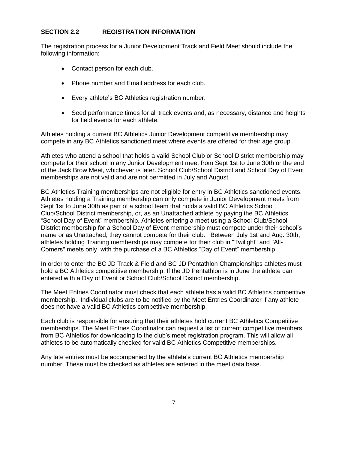## **SECTION 2.2 REGISTRATION INFORMATION**

The registration process for a Junior Development Track and Field Meet should include the following information:

- Contact person for each club.
- Phone number and Email address for each club.
- Every athlete's BC Athletics registration number.
- Seed performance times for all track events and, as necessary, distance and heights for field events for each athlete.

Athletes holding a current BC Athletics Junior Development competitive membership may compete in any BC Athletics sanctioned meet where events are offered for their age group.

Athletes who attend a school that holds a valid School Club or School District membership may compete for their school in any Junior Development meet from Sept 1st to June 30th or the end of the Jack Brow Meet, whichever is later. School Club/School District and School Day of Event memberships are not valid and are not permitted in July and August.

BC Athletics Training memberships are not eligible for entry in BC Athletics sanctioned events. Athletes holding a Training membership can only compete in Junior Development meets from Sept 1st to June 30th as part of a school team that holds a valid BC Athletics School Club/School District membership, or, as an Unattached athlete by paying the BC Athletics "School Day of Event" membership. Athletes entering a meet using a School Club/School District membership for a School Day of Event membership must compete under their school's name or as Unattached, they cannot compete for their club. Between July 1st and Aug. 30th, athletes holding Training memberships may compete for their club in "Twilight" and "All-Comers" meets only, with the purchase of a BC Athletics "Day of Event" membership.

In order to enter the BC JD Track & Field and BC JD Pentathlon Championships athletes must hold a BC Athletics competitive membership. If the JD Pentathlon is in June the athlete can entered with a Day of Event or School Club/School District membership.

The Meet Entries Coordinator must check that each athlete has a valid BC Athletics competitive membership. Individual clubs are to be notified by the Meet Entries Coordinator if any athlete does not have a valid BC Athletics competitive membership.

Each club is responsible for ensuring that their athletes hold current BC Athletics Competitive memberships. The Meet Entries Coordinator can request a list of current competitive members from BC Athletics for downloading to the club's meet registration program. This will allow all athletes to be automatically checked for valid BC Athletics Competitive memberships.

Any late entries must be accompanied by the athlete's current BC Athletics membership number. These must be checked as athletes are entered in the meet data base.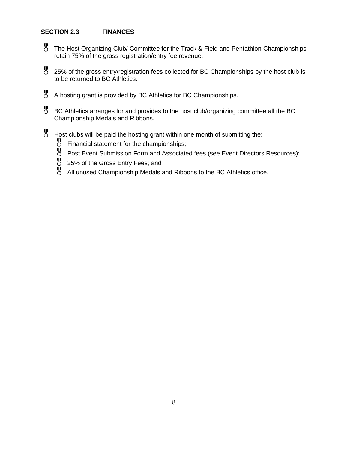## **SECTION 2.3 FINANCES**

- The Host Organizing Club/ Committee for the Track & Field and Pentathlon Championships retain 75% of the gross registration/entry fee revenue.
- 25% of the gross entry/registration fees collected for BC Championships by the host club is to be returned to BC Athletics.
- A hosting grant is provided by BC Athletics for BC Championships.
- BC Athletics arranges for and provides to the host club/organizing committee all the BC Championship Medals and Ribbons.
- Host clubs will be paid the hosting grant within one month of submitting the:<br>
U Financial statement for the championships;<br>
U Post Event Submission Form and Associated fees (see Event Directors<br>
U 25% of the Gross Entry F
	- Financial statement for the championships;
	- Post Event Submission Form and Associated fees (see Event Directors Resources);
	- 25% of the Gross Entry Fees; and
	- All unused Championship Medals and Ribbons to the BC Athletics office.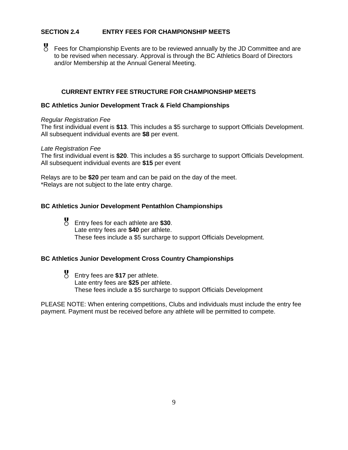## **SECTION 2.4 ENTRY FEES FOR CHAMPIONSHIP MEETS**

 Fees for Championship Events are to be reviewed annually by the JD Committee and are to be revised when necessary. Approval is through the BC Athletics Board of Directors and/or Membership at the Annual General Meeting.

## **CURRENT ENTRY FEE STRUCTURE FOR CHAMPIONSHIP MEETS**

#### **BC Athletics Junior Development Track & Field Championships**

#### *Regular Registration Fee*

The first individual event is **\$13**. This includes a \$5 surcharge to support Officials Development. All subsequent individual events are **\$8** per event.

#### *Late Registration Fee*

The first individual event is **\$20**. This includes a \$5 surcharge to support Officials Development. All subsequent individual events are **\$15** per event

Relays are to be **\$20** per team and can be paid on the day of the meet. \*Relays are not subject to the late entry charge.

## **BC Athletics Junior Development Pentathlon Championships**

 Entry fees for each athlete are **\$30**. Late entry fees are **\$40** per athlete. These fees include a \$5 surcharge to support Officials Development.

#### **BC Athletics Junior Development Cross Country Championships**

 Entry fees are **\$17** per athlete. Late entry fees are **\$25** per athlete. These fees include a \$5 surcharge to support Officials Development

PLEASE NOTE: When entering competitions, Clubs and individuals must include the entry fee payment. Payment must be received before any athlete will be permitted to compete.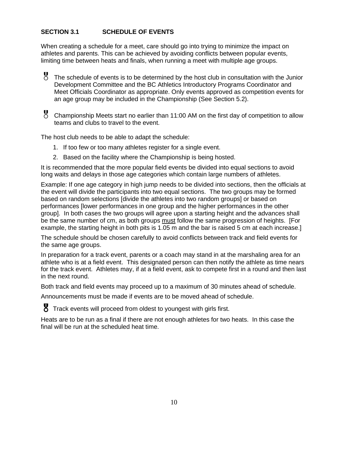## **SECTION 3.1 SCHEDULE OF EVENTS**

When creating a schedule for a meet, care should go into trying to minimize the impact on athletes and parents. This can be achieved by avoiding conflicts between popular events, limiting time between heats and finals, when running a meet with multiple age groups.

 The schedule of events is to be determined by the host club in consultation with the Junior Development Committee and the BC Athletics Introductory Programs Coordinator and Meet Officials Coordinator as appropriate. Only events approved as competition events for an age group may be included in the Championship (See Section 5.2).

 Championship Meets start no earlier than 11:00 AM on the first day of competition to allow teams and clubs to travel to the event.

The host club needs to be able to adapt the schedule:

- 1. If too few or too many athletes register for a single event.
- 2. Based on the facility where the Championship is being hosted.

It is recommended that the more popular field events be divided into equal sections to avoid long waits and delays in those age categories which contain large numbers of athletes.

Example: If one age category in high jump needs to be divided into sections, then the officials at the event will divide the participants into two equal sections. The two groups may be formed based on random selections [divide the athletes into two random groups] or based on performances [lower performances in one group and the higher performances in the other group]. In both cases the two groups will agree upon a starting height and the advances shall be the same number of cm, as both groups must follow the same progression of heights. [For example, the starting height in both pits is 1.05 m and the bar is raised 5 cm at each increase.]

The schedule should be chosen carefully to avoid conflicts between track and field events for the same age groups.

In preparation for a track event, parents or a coach may stand in at the marshaling area for an athlete who is at a field event. This designated person can then notify the athlete as time nears for the track event. Athletes may, if at a field event, ask to compete first in a round and then last in the next round.

Both track and field events may proceed up to a maximum of 30 minutes ahead of schedule.

Announcements must be made if events are to be moved ahead of schedule.

Track events will proceed from oldest to youngest with girls first.

Heats are to be run as a final if there are not enough athletes for two heats. In this case the final will be run at the scheduled heat time.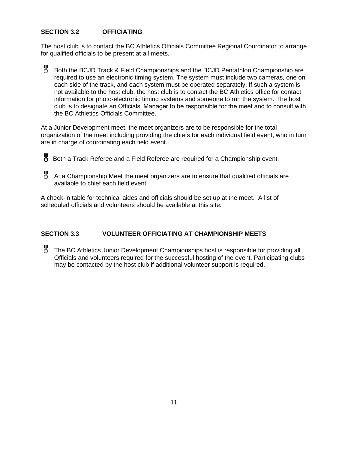## **SECTION 3.2 OFFICIATING**

The host club is to contact the BC Athletics Officials Committee Regional Coordinator to arrange for qualified officials to be present at all meets.

 Both the BCJD Track & Field Championships and the BCJD Pentathlon Championship are required to use an electronic timing system. The system must include two cameras, one on each side of the track, and each system must be operated separately. If such a system is not available to the host club, the host club is to contact the BC Athletics office for contact information for photo-electronic timing systems and someone to run the system. The host club is to designate an Officials' Manager to be responsible for the meet and to consult with the BC Athletics Officials Committee.

At a Junior Development meet, the meet organizers are to be responsible for the total organization of the meet including providing the chiefs for each individual field event, who in turn are in charge of coordinating each field event.

- Both a Track Referee and a Field Referee are required for a Championship event.
- At a Championship Meet the meet organizers are to ensure that qualified officials are available to chief each field event.

A check-in table for technical aides and officials should be set up at the meet. A list of scheduled officials and volunteers should be available at this site.

## **SECTION 3.3 VOLUNTEER OFFICIATING AT CHAMPIONSHIP MEETS**

 The BC Athletics Junior Development Championships host is responsible for providing all Officials and volunteers required for the successful hosting of the event. Participating clubs may be contacted by the host club if additional volunteer support is required.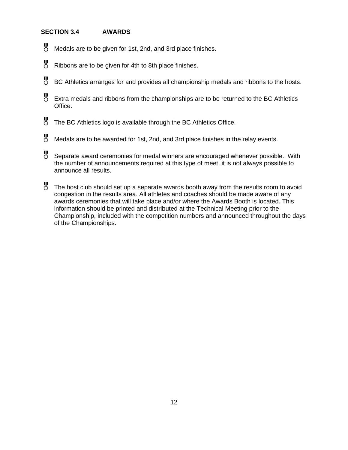## **SECTION 3.4 AWARDS**

- Medals are to be given for 1st, 2nd, and 3rd place finishes.
- Ribbons are to be given for 4th to 8th place finishes.
- BC Athletics arranges for and provides all championship medals and ribbons to the hosts.
- Extra medals and ribbons from the championships are to be returned to the BC Athletics Office.
- The BC Athletics logo is available through the BC Athletics Office.
- Medals are to be awarded for 1st, 2nd, and 3rd place finishes in the relay events.
- Separate award ceremonies for medal winners are encouraged whenever possible. With the number of announcements required at this type of meet, it is not always possible to announce all results.
- The host club should set up a separate awards booth away from the results room to avoid congestion in the results area. All athletes and coaches should be made aware of any awards ceremonies that will take place and/or where the Awards Booth is located. This information should be printed and distributed at the Technical Meeting prior to the Championship, included with the competition numbers and announced throughout the days of the Championships.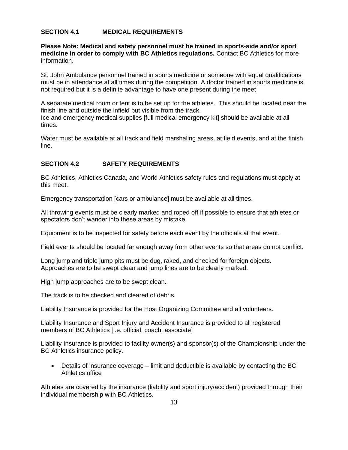## **SECTION 4.1 MEDICAL REQUIREMENTS**

**Please Note: Medical and safety personnel must be trained in sports-aide and/or sport medicine in order to comply with BC Athletics regulations.** Contact BC Athletics for more information.

St. John Ambulance personnel trained in sports medicine or someone with equal qualifications must be in attendance at all times during the competition. A doctor trained in sports medicine is not required but it is a definite advantage to have one present during the meet

A separate medical room or tent is to be set up for the athletes. This should be located near the finish line and outside the infield but visible from the track. Ice and emergency medical supplies [full medical emergency kit] should be available at all times.

Water must be available at all track and field marshaling areas, at field events, and at the finish line.

#### **SECTION 4.2 SAFETY REQUIREMENTS**

BC Athletics, Athletics Canada, and World Athletics safety rules and regulations must apply at this meet.

Emergency transportation [cars or ambulance] must be available at all times.

All throwing events must be clearly marked and roped off if possible to ensure that athletes or spectators don't wander into these areas by mistake.

Equipment is to be inspected for safety before each event by the officials at that event.

Field events should be located far enough away from other events so that areas do not conflict.

Long jump and triple jump pits must be dug, raked, and checked for foreign objects. Approaches are to be swept clean and jump lines are to be clearly marked.

High jump approaches are to be swept clean.

The track is to be checked and cleared of debris.

Liability Insurance is provided for the Host Organizing Committee and all volunteers.

Liability Insurance and Sport Injury and Accident Insurance is provided to all registered members of BC Athletics [i.e. official, coach, associate]

Liability Insurance is provided to facility owner(s) and sponsor(s) of the Championship under the BC Athletics insurance policy.

• Details of insurance coverage – limit and deductible is available by contacting the BC Athletics office

Athletes are covered by the insurance (liability and sport injury/accident) provided through their individual membership with BC Athletics.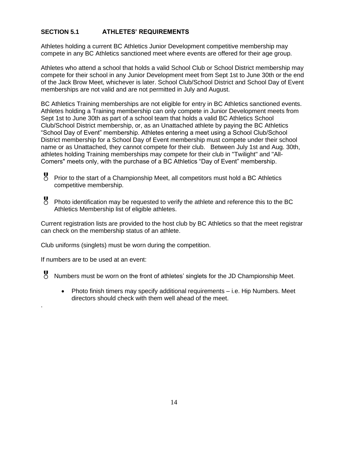## **SECTION 5.1 ATHLETES' REQUIREMENTS**

Athletes holding a current BC Athletics Junior Development competitive membership may compete in any BC Athletics sanctioned meet where events are offered for their age group.

Athletes who attend a school that holds a valid School Club or School District membership may compete for their school in any Junior Development meet from Sept 1st to June 30th or the end of the Jack Brow Meet, whichever is later. School Club/School District and School Day of Event memberships are not valid and are not permitted in July and August.

BC Athletics Training memberships are not eligible for entry in BC Athletics sanctioned events. Athletes holding a Training membership can only compete in Junior Development meets from Sept 1st to June 30th as part of a school team that holds a valid BC Athletics School Club/School District membership, or, as an Unattached athlete by paying the BC Athletics "School Day of Event" membership. Athletes entering a meet using a School Club/School District membership for a School Day of Event membership must compete under their school name or as Unattached, they cannot compete for their club. Between July 1st and Aug. 30th, athletes holding Training memberships may compete for their club in "Twilight" and "All-Comers" meets only, with the purchase of a BC Athletics "Day of Event" membership.

- Prior to the start of a Championship Meet, all competitors must hold a BC Athletics competitive membership.
- Photo identification may be requested to verify the athlete and reference this to the BC Athletics Membership list of eligible athletes.

Current registration lists are provided to the host club by BC Athletics so that the meet registrar can check on the membership status of an athlete.

Club uniforms (singlets) must be worn during the competition.

If numbers are to be used at an event:

.

Numbers must be worn on the front of athletes' singlets for the JD Championship Meet.

• Photo finish timers may specify additional requirements – i.e. Hip Numbers. Meet directors should check with them well ahead of the meet.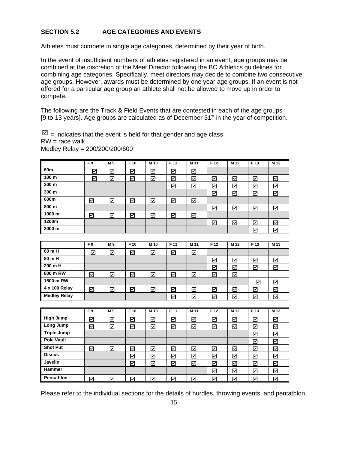## **SECTION 5.2 AGE CATEGORIES AND EVENTS**

Athletes must compete in single age categories, determined by their year of birth.

In the event of insufficient numbers of athletes registered in an event, age groups may be combined at the discretion of the Meet Director following the BC Athletics guidelines for combining age categories. Specifically, meet directors may decide to combine two consecutive age groups. However, awards must be determined by one year age groups. If an event is not offered for a particular age group an athlete shall not be allowed to move up in order to compete.

The following are the Track & Field Events that are contested in each of the age groups [9 to 13 years]. Age groups are calculated as of December  $31<sup>st</sup>$  in the year of competition.

 $\Box$  = indicates that the event is held for that gender and age class  $RW = race$  walk Medley Relay = 200/200/200/600

|        | F <sub>9</sub> | M 9 | F 10 | M 10 | F 11 | M 11 | F 12 | M 12 | F 13 | M 13 |
|--------|----------------|-----|------|------|------|------|------|------|------|------|
| 60m    | ☑              | ☑   | ☑    | ☑    | ☑    | ☑    |      |      |      |      |
| 100 m  | ☑              | ☑   | ☑    | ☑    | ☑    | ☑    | ☑    | ☑    | ☑    | ☑    |
| 200 m  |                |     |      |      | ☑    | ☑    | ☑    | ⊠    | ☑    | ☑    |
| 300 m  |                |     |      |      |      |      | ☑    | ☑    | ☑    | ☑    |
| 600m   | ☑              | ☑   | ☑    | ☑    | ☑    | ☑    |      |      |      |      |
| 800 m  |                |     |      |      |      |      | ☑    | ☑    | ☑    | ☑    |
| 1000 m | ☑              | ☑   | ☑    | ☑    | ☑    | ☑    |      |      |      |      |
| 1200m  |                |     |      |      |      |      | ☑    | ☑    | ☑    | ☑    |
| 2000 m |                |     |      |      |      |      |      |      | ☑    | ☑    |
|        |                |     |      |      |      |      |      |      |      |      |
|        | F9             | M 9 | F 10 | M 10 | F 11 | M 11 | F 12 | M 12 | F 13 | M 13 |

|                     | гэ | IVI J | r IV | MI IV | <b>FIL</b> | <b>MII</b> | E IZ | MI IZ | гь | IVI IJ |
|---------------------|----|-------|------|-------|------------|------------|------|-------|----|--------|
| 60 m H              | ☑  | ☑     | ☑    | ☑     | ☑          | ☑          |      |       |    |        |
| 80 m H              |    |       |      |       |            |            | ☑    | ☑     | ☑  | ☑      |
| 200 m H             |    |       |      |       |            |            | ⊽    | 罓     | R  | ⊽      |
| 800 m RW            | ☑  | ☑     | ☑    | ☑     | ☑          | ☑          | ☑    | ☑     |    |        |
| 1500 m RW           |    |       |      |       |            |            |      |       | ⊡  | ☑      |
| 4 x 100 Relay       | ☑  | ☑     | ☑    | ☑     | ☑          | ☑          | ⊽    | ☑     | ☑  | ☑      |
| <b>Medley Relay</b> |    |       |      |       | ☑          | ☑          | ☑    | ☑     | ☑  | ☑      |

|                   | F9 | M 9 | F 10 | M 10 | F 11                    | M 11 | F 12 | M 12                    | F <sub>13</sub> | M 13              |
|-------------------|----|-----|------|------|-------------------------|------|------|-------------------------|-----------------|-------------------|
| <b>High Jump</b>  | ☑  | ☑   | ☑    | ☑    | ⊠                       | ☑    | ☑    | ☑                       | ☑               | ⊻                 |
| Long Jump         | ☑  | ☑   | ☑    | ☑    | ☑                       | ☑    | ☑    | ☑                       | ☑               | ☑                 |
| Triple Jump       |    |     |      |      |                         |      |      |                         | ⊠               | ⊠                 |
| <b>Pole Vault</b> |    |     |      |      |                         |      |      |                         | ☑               | ☑                 |
| <b>Shot Put</b>   | ☑  | ☑   | ☑    | ☑    | ☑                       | ☑    | ☑    | ☑                       | ☑               | ⊠                 |
| <b>Discus</b>     |    |     | ☑    | ☑    | ☑                       | ☑    | ☑    | ☑                       | ☑               | ☑                 |
| Javelin           |    |     | ☑    | ☑    | ☑                       | ☑    | ☑    | ☑                       | ☑               | $\overline{\leq}$ |
| Hammer            |    |     |      |      |                         |      | ☑    | ☑                       | ☑               | ☑                 |
| Pentathlon        | ⊽  | ☑   | ⊽    | ☑    | $\overline{\mathsf{v}}$ | ☑    | 罓    | $\overline{\mathsf{v}}$ | ⊽               | ∇                 |

Please refer to the individual sections for the details of hurdles, throwing events, and pentathlon.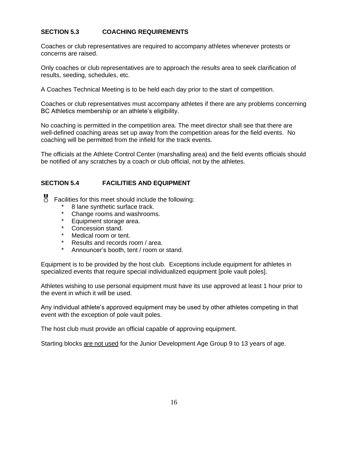## **SECTION 5.3 COACHING REQUIREMENTS**

Coaches or club representatives are required to accompany athletes whenever protests or concerns are raised.

Only coaches or club representatives are to approach the results area to seek clarification of results, seeding, schedules, etc.

A Coaches Technical Meeting is to be held each day prior to the start of competition.

Coaches or club representatives must accompany athletes if there are any problems concerning BC Athletics membership or an athlete's eligibility.

No coaching is permitted in the competition area. The meet director shall see that there are well-defined coaching areas set up away from the competition areas for the field events. No coaching will be permitted from the infield for the track events.

The officials at the Athlete Control Center (marshalling area) and the field events officials should be notified of any scratches by a coach or club official, not by the athletes.

## **SECTION 5.4 FACILITIES AND EQUIPMENT**

- Facilities for this meet should include the following:
	- \* 8 lane synthetic surface track.
	- Change rooms and washrooms.
	- \* Equipment storage area.
	- \* Concession stand.
	- \* Medical room or tent.
	- Results and records room / area.
	- \* Announcer's booth, tent / room or stand.

Equipment is to be provided by the host club. Exceptions include equipment for athletes in specialized events that require special individualized equipment [pole vault poles].

Athletes wishing to use personal equipment must have its use approved at least 1 hour prior to the event in which it will be used.

Any individual athlete's approved equipment may be used by other athletes competing in that event with the exception of pole vault poles.

The host club must provide an official capable of approving equipment.

Starting blocks are not used for the Junior Development Age Group 9 to 13 years of age.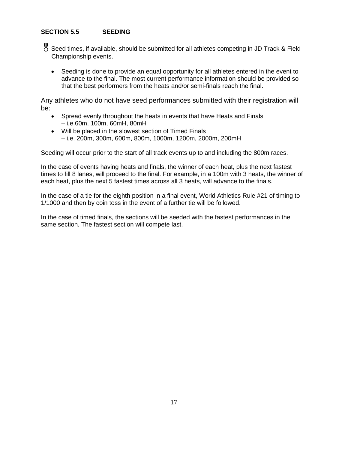## **SECTION 5.5 SEEDING**

- Seed times, if available, should be submitted for all athletes competing in JD Track & Field Championship events.
	- Seeding is done to provide an equal opportunity for all athletes entered in the event to advance to the final. The most current performance information should be provided so that the best performers from the heats and/or semi-finals reach the final.

Any athletes who do not have seed performances submitted with their registration will be:

- Spread evenly throughout the heats in events that have Heats and Finals – i.e.60m, 100m, 60mH, 80mH
- Will be placed in the slowest section of Timed Finals – i.e. 200m, 300m, 600m, 800m, 1000m, 1200m, 2000m, 200mH

Seeding will occur prior to the start of all track events up to and including the 800m races.

In the case of events having heats and finals, the winner of each heat, plus the next fastest times to fill 8 lanes, will proceed to the final. For example, in a 100m with 3 heats, the winner of each heat, plus the next 5 fastest times across all 3 heats, will advance to the finals.

In the case of a tie for the eighth position in a final event, World Athletics Rule #21 of timing to 1/1000 and then by coin toss in the event of a further tie will be followed.

In the case of timed finals, the sections will be seeded with the fastest performances in the same section. The fastest section will compete last.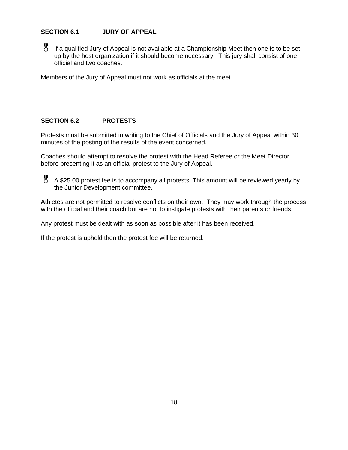## **SECTION 6.1 JURY OF APPEAL**

 If a qualified Jury of Appeal is not available at a Championship Meet then one is to be set up by the host organization if it should become necessary. This jury shall consist of one official and two coaches.

Members of the Jury of Appeal must not work as officials at the meet.

## **SECTION 6.2 PROTESTS**

Protests must be submitted in writing to the Chief of Officials and the Jury of Appeal within 30 minutes of the posting of the results of the event concerned.

Coaches should attempt to resolve the protest with the Head Referee or the Meet Director before presenting it as an official protest to the Jury of Appeal.

 A \$25.00 protest fee is to accompany all protests. This amount will be reviewed yearly by the Junior Development committee.

Athletes are not permitted to resolve conflicts on their own. They may work through the process with the official and their coach but are not to instigate protests with their parents or friends.

Any protest must be dealt with as soon as possible after it has been received.

If the protest is upheld then the protest fee will be returned.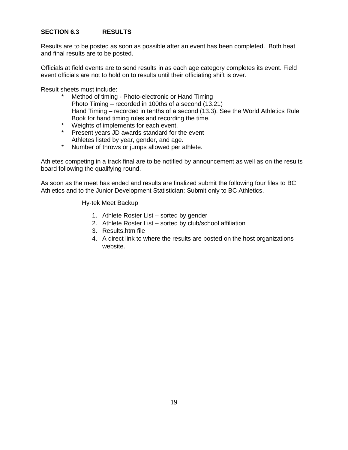## **SECTION 6.3 RESULTS**

Results are to be posted as soon as possible after an event has been completed. Both heat and final results are to be posted.

Officials at field events are to send results in as each age category completes its event. Field event officials are not to hold on to results until their officiating shift is over.

Result sheets must include:

- Method of timing Photo-electronic or Hand Timing Photo Timing – recorded in 100ths of a second (13.21) Hand Timing – recorded in tenths of a second (13.3). See the World Athletics Rule Book for hand timing rules and recording the time.
- \* Weights of implements for each event.
- \* Present years JD awards standard for the event Athletes listed by year, gender, and age.
- \* Number of throws or jumps allowed per athlete.

Athletes competing in a track final are to be notified by announcement as well as on the results board following the qualifying round.

As soon as the meet has ended and results are finalized submit the following four files to BC Athletics and to the Junior Development Statistician: Submit only to BC Athletics.

Hy-tek Meet Backup

- 1. Athlete Roster List sorted by gender
- 2. Athlete Roster List sorted by club/school affiliation
- 3. Results.htm file
- 4. A direct link to where the results are posted on the host organizations website.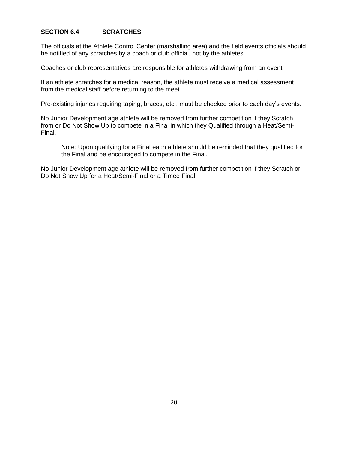## **SECTION 6.4 SCRATCHES**

The officials at the Athlete Control Center (marshalling area) and the field events officials should be notified of any scratches by a coach or club official, not by the athletes.

Coaches or club representatives are responsible for athletes withdrawing from an event.

If an athlete scratches for a medical reason, the athlete must receive a medical assessment from the medical staff before returning to the meet.

Pre-existing injuries requiring taping, braces, etc., must be checked prior to each day's events.

No Junior Development age athlete will be removed from further competition if they Scratch from or Do Not Show Up to compete in a Final in which they Qualified through a Heat/Semi-Final.

Note: Upon qualifying for a Final each athlete should be reminded that they qualified for the Final and be encouraged to compete in the Final.

No Junior Development age athlete will be removed from further competition if they Scratch or Do Not Show Up for a Heat/Semi-Final or a Timed Final.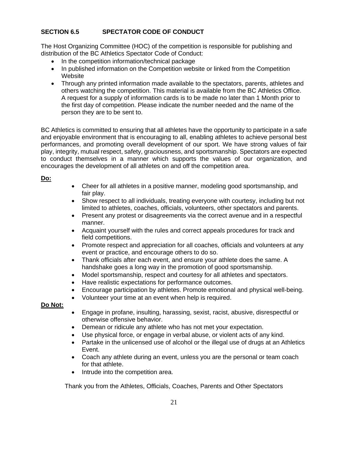## **SECTION 6.5 SPECTATOR CODE OF CONDUCT**

The Host Organizing Committee (HOC) of the competition is responsible for publishing and distribution of the BC Athletics Spectator Code of Conduct:

- In the competition information/technical package
- In published information on the Competition website or linked from the Competition Website
- Through any printed information made available to the spectators, parents, athletes and others watching the competition. This material is available from the BC Athletics Office. A request for a supply of information cards is to be made no later than 1 Month prior to the first day of competition. Please indicate the number needed and the name of the person they are to be sent to.

BC Athletics is committed to ensuring that all athletes have the opportunity to participate in a safe and enjoyable environment that is encouraging to all, enabling athletes to achieve personal best performances, and promoting overall development of our sport. We have strong values of fair play, integrity, mutual respect, safety, graciousness, and sportsmanship. Spectators are expected to conduct themselves in a manner which supports the values of our organization, and encourages the development of all athletes on and off the competition area.

#### **Do:**

- Cheer for all athletes in a positive manner, modeling good sportsmanship, and fair play.
- Show respect to all individuals, treating everyone with courtesy, including but not limited to athletes, coaches, officials, volunteers, other spectators and parents.
- Present any protest or disagreements via the correct avenue and in a respectful manner.
- Acquaint yourself with the rules and correct appeals procedures for track and field competitions.
- Promote respect and appreciation for all coaches, officials and volunteers at any event or practice, and encourage others to do so.
- Thank officials after each event, and ensure your athlete does the same. A handshake goes a long way in the promotion of good sportsmanship.
- Model sportsmanship, respect and courtesy for all athletes and spectators.
- Have realistic expectations for performance outcomes.
- Encourage participation by athletes. Promote emotional and physical well-being.
- Volunteer your time at an event when help is required.

## **Do Not:**

- Engage in profane, insulting, harassing, sexist, racist, abusive, disrespectful or otherwise offensive behavior.
- Demean or ridicule any athlete who has not met your expectation.
- Use physical force, or engage in verbal abuse, or violent acts of any kind.
- Partake in the unlicensed use of alcohol or the illegal use of drugs at an Athletics Event.
- Coach any athlete during an event, unless you are the personal or team coach for that athlete.
- Intrude into the competition area.

Thank you from the Athletes, Officials, Coaches, Parents and Other Spectators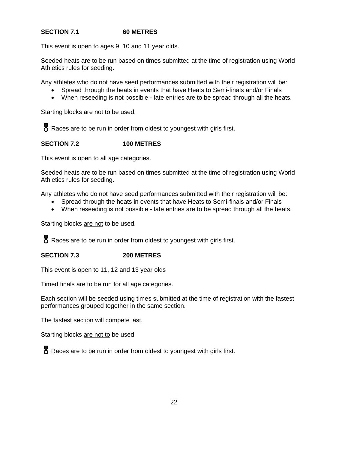## **SECTION 7.1 60 METRES**

This event is open to ages 9, 10 and 11 year olds.

Seeded heats are to be run based on times submitted at the time of registration using World Athletics rules for seeding.

Any athletes who do not have seed performances submitted with their registration will be:

- Spread through the heats in events that have Heats to Semi-finals and/or Finals
- When reseeding is not possible late entries are to be spread through all the heats.

Starting blocks are not to be used.

8 Races are to be run in order from oldest to youngest with girls first.

## **SECTION 7.2 100 METRES**

This event is open to all age categories.

Seeded heats are to be run based on times submitted at the time of registration using World Athletics rules for seeding.

Any athletes who do not have seed performances submitted with their registration will be:

- Spread through the heats in events that have Heats to Semi-finals and/or Finals
- When reseeding is not possible late entries are to be spread through all the heats.

Starting blocks are not to be used.

**8** Races are to be run in order from oldest to youngest with girls first.

## **SECTION 7.3 200 METRES**

This event is open to 11, 12 and 13 year olds

Timed finals are to be run for all age categories.

Each section will be seeded using times submitted at the time of registration with the fastest performances grouped together in the same section.

The fastest section will compete last.

Starting blocks are not to be used

**8** Races are to be run in order from oldest to youngest with girls first.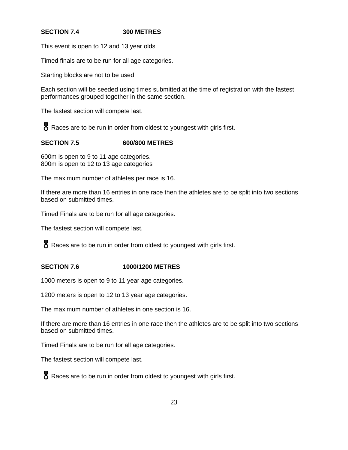## **SECTION 7.4 300 METRES**

This event is open to 12 and 13 year olds

Timed finals are to be run for all age categories.

Starting blocks are not to be used

Each section will be seeded using times submitted at the time of registration with the fastest performances grouped together in the same section.

The fastest section will compete last.

Races are to be run in order from oldest to youngest with girls first.

## **SECTION 7.5 600/800 METRES**

600m is open to 9 to 11 age categories. 800m is open to 12 to 13 age categories

The maximum number of athletes per race is 16.

If there are more than 16 entries in one race then the athletes are to be split into two sections based on submitted times.

Timed Finals are to be run for all age categories.

The fastest section will compete last.

**8** Races are to be run in order from oldest to youngest with girls first.

## **SECTION 7.6 1000/1200 METRES**

1000 meters is open to 9 to 11 year age categories.

1200 meters is open to 12 to 13 year age categories.

The maximum number of athletes in one section is 16.

If there are more than 16 entries in one race then the athletes are to be split into two sections based on submitted times.

Timed Finals are to be run for all age categories.

The fastest section will compete last.

**8** Races are to be run in order from oldest to youngest with girls first.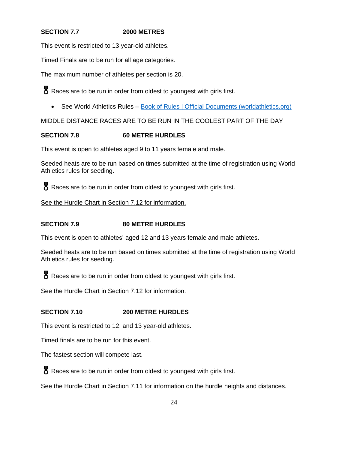## **SECTION 7.7 2000 METRES**

This event is restricted to 13 year-old athletes.

Timed Finals are to be run for all age categories.

The maximum number of athletes per section is 20.

Races are to be run in order from oldest to youngest with girls first.

• See World Athletics Rules - [Book of Rules | Official Documents \(worldathletics.org\)](https://www.worldathletics.org/about-iaaf/documents/book-of-rules)

MIDDLE DISTANCE RACES ARE TO BE RUN IN THE COOLEST PART OF THE DAY

## **SECTION 7.8 60 METRE HURDLES**

This event is open to athletes aged 9 to 11 years female and male.

Seeded heats are to be run based on times submitted at the time of registration using World Athletics rules for seeding.

Races are to be run in order from oldest to youngest with girls first.

See the Hurdle Chart in Section 7.12 for information.

## **SECTION 7.9 80 METRE HURDLES**

This event is open to athletes' aged 12 and 13 years female and male athletes.

Seeded heats are to be run based on times submitted at the time of registration using World Athletics rules for seeding.

**8** Races are to be run in order from oldest to youngest with girls first.

See the Hurdle Chart in Section 7.12 for information.

## **SECTION 7.10 200 METRE HURDLES**

This event is restricted to 12, and 13 year-old athletes.

Timed finals are to be run for this event.

The fastest section will compete last.

**8** Races are to be run in order from oldest to youngest with girls first.

See the Hurdle Chart in Section 7.11 for information on the hurdle heights and distances.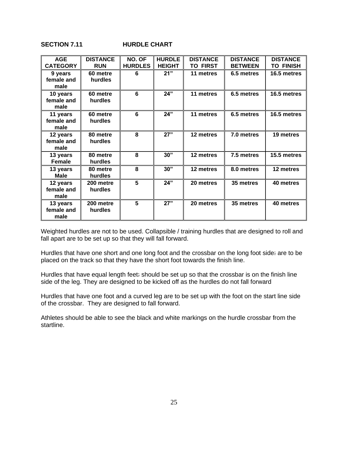## **SECTION 7.11 HURDLE CHART**

| <b>AGE</b><br><b>CATEGORY</b>  | <b>DISTANCE</b><br><b>RUN</b> | NO. OF<br><b>HURDLES</b> | <b>HURDLE</b><br><b>HEIGHT</b> | <b>DISTANCE</b><br><b>TO FIRST</b> | <b>DISTANCE</b><br><b>BETWEEN</b> | <b>DISTANCE</b><br><b>TO FINISH</b> |
|--------------------------------|-------------------------------|--------------------------|--------------------------------|------------------------------------|-----------------------------------|-------------------------------------|
| 9 years<br>female and<br>male  | 60 metre<br>hurdles           | 6                        | 21"                            | 11 metres                          | 6.5 metres                        | 16.5 metres                         |
| 10 years<br>female and<br>male | 60 metre<br>hurdles           | 6                        | 24"                            | 11 metres                          | 6.5 metres                        | 16.5 metres                         |
| 11 years<br>female and<br>male | 60 metre<br>hurdles           | 6                        | 24"                            | 11 metres                          | 6.5 metres                        | 16.5 metres                         |
| 12 years<br>female and<br>male | 80 metre<br>hurdles           | 8                        | 27"                            | 12 metres                          | 7.0 metres                        | 19 metres                           |
| 13 years<br><b>Female</b>      | 80 metre<br>hurdles           | 8                        | 30"                            | 12 metres                          | 7.5 metres                        | 15.5 metres                         |
| 13 years<br><b>Male</b>        | 80 metre<br>hurdles           | 8                        | 30"                            | 12 metres                          | 8.0 metres                        | 12 metres                           |
| 12 years<br>female and<br>male | 200 metre<br>hurdles          | 5                        | 24"                            | 20 metres                          | 35 metres                         | 40 metres                           |
| 13 years<br>female and<br>male | 200 metre<br>hurdles          | 5                        | 27"                            | 20 metres                          | 35 metres                         | 40 metres                           |

Weighted hurdles are not to be used. Collapsible / training hurdles that are designed to roll and fall apart are to be set up so that they will fall forward.

Hurdles that have one short and one long foot and the crossbar on the long foot side: are to be placed on the track so that they have the short foot towards the finish line.

Hurdles that have equal length feet: should be set up so that the crossbar is on the finish line side of the leg. They are designed to be kicked off as the hurdles do not fall forward

Hurdles that have one foot and a curved leg are to be set up with the foot on the start line side of the crossbar. They are designed to fall forward.

Athletes should be able to see the black and white markings on the hurdle crossbar from the startline.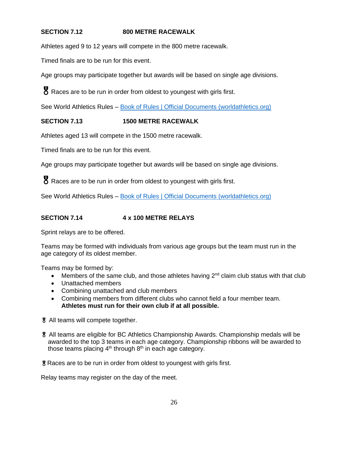## **SECTION 7.12 800 METRE RACEWALK**

Athletes aged 9 to 12 years will compete in the 800 metre racewalk.

Timed finals are to be run for this event.

Age groups may participate together but awards will be based on single age divisions.

Races are to be run in order from oldest to youngest with girls first.

See World Athletics Rules – [Book of Rules | Official Documents \(worldathletics.org\)](https://www.worldathletics.org/about-iaaf/documents/book-of-rules)

## **SECTION 7.13 1500 METRE RACEWALK**

Athletes aged 13 will compete in the 1500 metre racewalk.

Timed finals are to be run for this event.

Age groups may participate together but awards will be based on single age divisions.

Races are to be run in order from oldest to youngest with girls first.

See World Athletics Rules – [Book of Rules | Official Documents \(worldathletics.org\)](https://www.worldathletics.org/about-iaaf/documents/book-of-rules)

## **SECTION 7.14 4 x 100 METRE RELAYS**

Sprint relays are to be offered.

Teams may be formed with individuals from various age groups but the team must run in the age category of its oldest member.

Teams may be formed by:

- Members of the same club, and those athletes having  $2^{nd}$  claim club status with that club
- Unattached members
- Combining unattached and club members
- Combining members from different clubs who cannot field a four member team. **Athletes must run for their own club if at all possible.**
- All teams will compete together.
- All teams are eligible for BC Athletics Championship Awards. Championship medals will be awarded to the top 3 teams in each age category. Championship ribbons will be awarded to those teams placing  $4<sup>th</sup>$  through  $8<sup>th</sup>$  in each age category.

Races are to be run in order from oldest to youngest with girls first.

Relay teams may register on the day of the meet.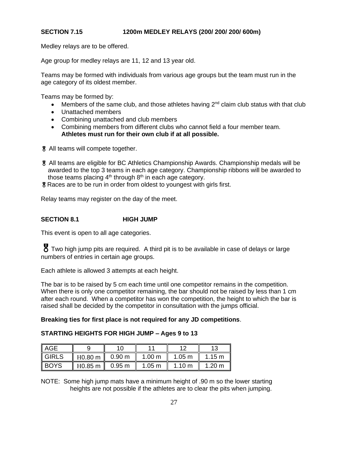### **SECTION 7.15 1200m MEDLEY RELAYS (200/ 200/ 200/ 600m)**

Medley relays are to be offered.

Age group for medley relays are 11, 12 and 13 year old.

Teams may be formed with individuals from various age groups but the team must run in the age category of its oldest member.

Teams may be formed by:

- Members of the same club, and those athletes having  $2^{nd}$  claim club status with that club
- Unattached members
- Combining unattached and club members
- Combining members from different clubs who cannot field a four member team. **Athletes must run for their own club if at all possible.**

All teams will compete together.

- All teams are eligible for BC Athletics Championship Awards. Championship medals will be awarded to the top 3 teams in each age category. Championship ribbons will be awarded to those teams placing  $4<sup>th</sup>$  through  $8<sup>th</sup>$  in each age category.
- Races are to be run in order from oldest to youngest with girls first.

Relay teams may register on the day of the meet.

#### **SECTION 8.1 HIGH JUMP**

This event is open to all age categories.

**y** Two high jump pits are required. A third pit is to be available in case of delays or large numbers of entries in certain age groups.

Each athlete is allowed 3 attempts at each height.

The bar is to be raised by 5 cm each time until one competitor remains in the competition. When there is only one competitor remaining, the bar should not be raised by less than 1 cm after each round. When a competitor has won the competition, the height to which the bar is raised shall be decided by the competitor in consultation with the jumps official.

#### **Breaking ties for first place is not required for any JD competitions**.

### **STARTING HEIGHTS FOR HIGH JUMP – Ages 9 to 13**

| $\parallel$ AGE   |                     |                   |                   | 1 ຕ              | 12               |
|-------------------|---------------------|-------------------|-------------------|------------------|------------------|
| $\parallel$ GIRLS | H0.80 m             | 0.90 <sub>m</sub> | 1.00 <sub>m</sub> | $1.05 \text{ m}$ | 1.15 m           |
| ∥ BOYS            | H <sub>0.85</sub> m | $0.95 \text{ m}$  | $1.05 \text{ m}$  | 1.10 $m$         | $1.20 \text{ m}$ |

NOTE: Some high jump mats have a minimum height of .90 m so the lower starting heights are not possible if the athletes are to clear the pits when jumping.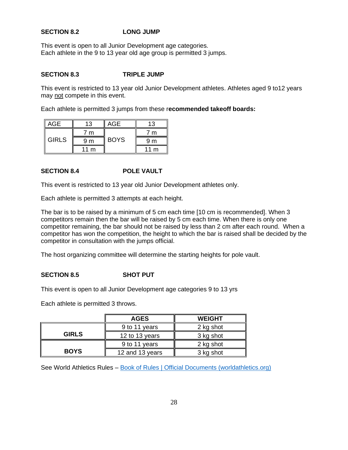## **SECTION 8.2 LONG JUMP**

This event is open to all Junior Development age categories. Each athlete in the 9 to 13 year old age group is permitted 3 jumps.

#### **SECTION 8.3 TRIPLE JUMP**

This event is restricted to 13 year old Junior Development athletes. Athletes aged 9 to12 years may not compete in this event.

Each athlete is permitted 3 jumps from these r**ecommended takeoff boards:**

| AGF          | 13              | AGE         | 13             |
|--------------|-----------------|-------------|----------------|
| <b>GIRLS</b> | m               |             | 7 m            |
|              | 9 m             | <b>BOYS</b> | 9 m            |
|              | 11 <sub>m</sub> |             | $11 \text{ m}$ |

#### **SECTION 8.4 POLE VAULT**

This event is restricted to 13 year old Junior Development athletes only.

Each athlete is permitted 3 attempts at each height.

The bar is to be raised by a minimum of 5 cm each time [10 cm is recommended]. When 3 competitors remain then the bar will be raised by 5 cm each time. When there is only one competitor remaining, the bar should not be raised by less than 2 cm after each round. When a competitor has won the competition, the height to which the bar is raised shall be decided by the competitor in consultation with the jumps official.

The host organizing committee will determine the starting heights for pole vault.

## **SECTION 8.5 SHOT PUT**

This event is open to all Junior Development age categories 9 to 13 yrs

Each athlete is permitted 3 throws.

|              | <b>AGES</b>     | <b>WEIGHT</b> |  |
|--------------|-----------------|---------------|--|
|              | 9 to 11 years   | 2 kg shot     |  |
| <b>GIRLS</b> | 12 to 13 years  | 3 kg shot     |  |
|              | 9 to 11 years   | 2 kg shot     |  |
| <b>BOYS</b>  | 12 and 13 years | 3 kg shot     |  |

See World Athletics Rules – [Book of Rules | Official Documents \(worldathletics.org\)](https://www.worldathletics.org/about-iaaf/documents/book-of-rules)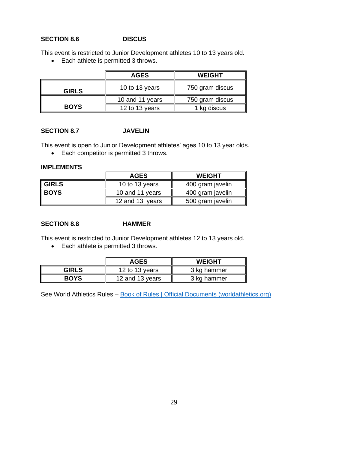## **SECTION 8.6 DISCUS**

This event is restricted to Junior Development athletes 10 to 13 years old.

• Each athlete is permitted 3 throws.

|              | <b>AGES</b>     | <b>WEIGHT</b>   |
|--------------|-----------------|-----------------|
| <b>GIRLS</b> | 10 to 13 years  | 750 gram discus |
|              | 10 and 11 years | 750 gram discus |
| <b>BOYS</b>  | 12 to 13 years  | 1 kg discus     |

#### **SECTION 8.7 JAVELIN**

This event is open to Junior Development athletes' ages 10 to 13 year olds.

• Each competitor is permitted 3 throws.

#### **IMPLEMENTS**

|                   | <b>AGES</b>     | <b>WEIGHT</b>    |  |
|-------------------|-----------------|------------------|--|
| $\parallel$ GIRLS | 10 to 13 years  | 400 gram javelin |  |
| ∥ BOYS            | 10 and 11 years | 400 gram javelin |  |
|                   | 12 and 13 years | 500 gram javelin |  |

#### **SECTION 8.8 HAMMER**

This event is restricted to Junior Development athletes 12 to 13 years old.

• Each athlete is permitted 3 throws.

|              | <b>AGES</b>     | <b>WEIGHT</b> |
|--------------|-----------------|---------------|
| <b>GIRLS</b> | 12 to 13 years  | 3 kg hammer   |
| <b>BOYS</b>  | 12 and 13 years | 3 kg hammer   |

See World Athletics Rules – [Book of Rules | Official Documents \(worldathletics.org\)](https://www.worldathletics.org/about-iaaf/documents/book-of-rules)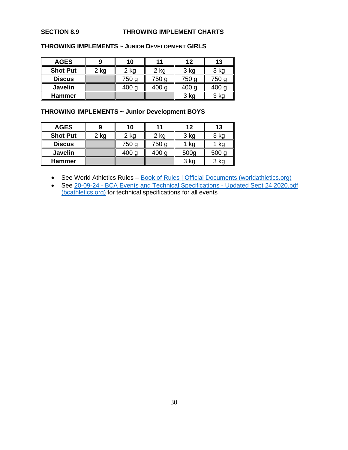#### **SECTION 8.9 THROWING IMPLEMENT CHARTS**

| <b>AGES</b>     |      | 10               |       | 12               | 13               |  |
|-----------------|------|------------------|-------|------------------|------------------|--|
| <b>Shot Put</b> | 2 kg | 2 kg             | 2 kg  | 3 kg             | 3 kg             |  |
| <b>Discus</b>   |      | 750 g            | 750 g | 750 g            | 750 g            |  |
| <b>Javelin</b>  |      | 400 <sub>g</sub> | 400 g | 400 <sub>g</sub> | 400 <sub>g</sub> |  |
| <b>Hammer</b>   |      |                  |       | 3 kg             | 3 kg             |  |

#### **THROWING IMPLEMENTS ~ JUNIOR DEVELOPMENT GIRLS**

## **THROWING IMPLEMENTS ~ Junior Development BOYS**

| <b>AGES</b>             |  | 10               |                   | 12     |                  |
|-------------------------|--|------------------|-------------------|--------|------------------|
| <b>Shot Put</b><br>2 kg |  | $2$ kg           | 2 kg              | $3$ kg | 3 kg             |
| <b>Discus</b>           |  | 750 g            | 750 g             | 1 ka   | <b>kc</b>        |
| <b>Javelin</b>          |  | 400 <sub>g</sub> | $400 \, \text{C}$ | 500g   | 500 <sub>q</sub> |
| <b>Hammer</b>           |  |                  |                   | $3$ kg | 3 kg             |

• See World Athletics Rules – [Book of Rules | Official Documents \(worldathletics.org\)](https://www.worldathletics.org/about-iaaf/documents/book-of-rules)

• See 20-09-24 - [BCA Events and Technical Specifications -](https://www.bcathletics.org/admin/js/elfinder/files/Documents/BCA%20Policies/20-09-24%20-%20BCA%20Events%20and%20Technical%20Specifications%20-%20Updated%20Sept%2024%202020.pdf) Updated Sept 24 2020.pdf [\(bcathletics.org\)](https://www.bcathletics.org/admin/js/elfinder/files/Documents/BCA%20Policies/20-09-24%20-%20BCA%20Events%20and%20Technical%20Specifications%20-%20Updated%20Sept%2024%202020.pdf) for technical specifications for all events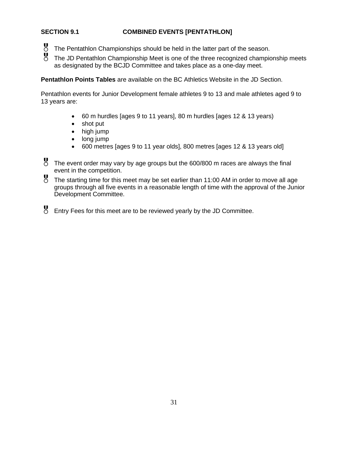## **SECTION 9.1 COMBINED EVENTS [PENTATHLON]**

- The Pentathlon Championships should be held in the latter part of the season.<br>The JD Pentathlon Championship Meet is one of the three recognized championship
- The JD Pentathlon Championship Meet is one of the three recognized championship meets as designated by the BCJD Committee and takes place as a one-day meet.

**Pentathlon Points Tables** are available on the BC Athletics Website in the JD Section.

Pentathlon events for Junior Development female athletes 9 to 13 and male athletes aged 9 to 13 years are:

- 60 m hurdles [ages 9 to 11 years], 80 m hurdles [ages 12 & 13 years)
- shot put
- high jump
- long jump
- 600 metres [ages 9 to 11 year olds], 800 metres [ages 12 & 13 years old]
- The event order may vary by age groups but the 600/800 m races are always the final event in the competition.
- The starting time for this meet may be set earlier than 11:00 AM in order to move all age groups through all five events in a reasonable length of time with the approval of the Junior Development Committee.
- Entry Fees for this meet are to be reviewed yearly by the JD Committee.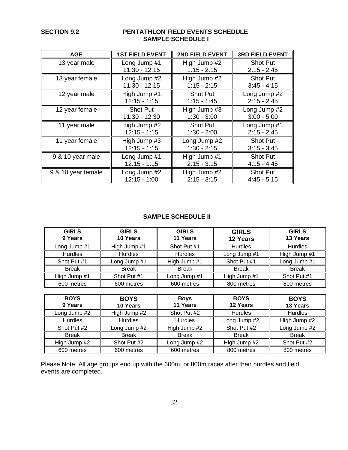### **SECTION 9.2 PENTATHLON FIELD EVENTS SCHEDULE SAMPLE SCHEDULE I**

| <b>AGE</b>         | <b>1ST FIELD EVENT</b> | 2ND FIELD EVENT | <b>3RD FIELD EVENT</b> |  |
|--------------------|------------------------|-----------------|------------------------|--|
| 13 year male       | Long Jump #1           | High Jump #2    | <b>Shot Put</b>        |  |
|                    | $11:30 - 12:15$        | $1:15 - 2:15$   | $2:15 - 2:45$          |  |
| 13 year female     | Long Jump #2           | High Jump #2    | Shot Put               |  |
|                    | $11:30 - 12:15$        | $1:15 - 2:15$   | $3:45 - 4:15$          |  |
| 12 year male       | High Jump #1           | <b>Shot Put</b> | Long Jump #2           |  |
|                    | $12:15 - 1:15$         | $1:15 - 1:45$   | $2:15 - 2:45$          |  |
| 12 year female     | Shot Put               | High Jump #3    | Long Jump #2           |  |
|                    | 11:30 - 12:30          | $1:30 - 3:00$   | $3:00 - 5:00$          |  |
| 11 year male       | High Jump #2           | Shot Put        | Long Jump #1           |  |
|                    | $12:15 - 1:15$         | $1:30 - 2:00$   | $2:15 - 2:45$          |  |
| 11 year female     | High Jump #3           | Long Jump #2    | Shot Put               |  |
|                    | $12:15 - 1:15$         | $1:30 - 2:15$   | $3:15 - 3:45$          |  |
| 9 & 10 year male   | Long Jump #1           | High Jump #1    | <b>Shot Put</b>        |  |
|                    | $12:15 - 1:15$         | $2:15 - 3:15$   | $4:15 - 4:45$          |  |
| 9 & 10 year female | Long Jump #2           | High Jump #2    | <b>Shot Put</b>        |  |
|                    | $12:15 - 1:00$         | $2:15 - 3:15$   | $4:45 - 5:15$          |  |

## **SAMPLE SCHEDULE II**

| <b>GIRLS</b><br>9 Years | <b>GIRLS</b><br>10 Years | <b>GIRLS</b><br>11 Years | <b>GIRLS</b><br>12 Years | <b>GIRLS</b><br>13 Years |
|-------------------------|--------------------------|--------------------------|--------------------------|--------------------------|
| Long Jump #1            | High Jump #1             | Shot Put #1              | <b>Hurdles</b>           | <b>Hurdles</b>           |
| <b>Hurdles</b>          | Hurdles                  | <b>Hurdles</b>           | Long Jump #1             | High Jump #1             |
| Shot Put #1             | Long Jump #1             | High Jump #1             | Shot Put #1              | Long Jump #1             |
| <b>Break</b>            | <b>Break</b>             | <b>Break</b>             | <b>Break</b>             | <b>Break</b>             |
| High Jump #1            | Shot Put #1              | Long Jump #1             | High Jump #1             | Shot Put #1              |
| 600 metres              | 600 metres               | 600 metres               | 800 metres               | 800 metres               |

| <b>BOYS</b><br>9 Years | <b>BOYS</b><br>10 Years | <b>Boys</b><br>11 Years | <b>BOYS</b><br>12 Years | <b>BOYS</b><br>13 Years |
|------------------------|-------------------------|-------------------------|-------------------------|-------------------------|
| Long Jump #2           | High Jump #2            | Shot Put #2             | <b>Hurdles</b>          | <b>Hurdles</b>          |
| <b>Hurdles</b>         | <b>Hurdles</b>          | <b>Hurdles</b>          | Long Jump #2            | High Jump #2            |
| Shot Put #2            | Long Jump #2            | High Jump #2            | Shot Put #2             | Long Jump #2            |
| <b>Break</b>           | <b>Break</b>            | <b>Break</b>            | <b>Break</b>            | <b>Break</b>            |
| High Jump #2           | Shot Put #2             | Long Jump #2            | High Jump #2            | Shot Put #2             |
| 600 metres             | 600 metres              | 600 metres              | 800 metres              | 800 metres              |

Please Note: All age groups end up with the 600m, or 800m races after their hurdles and field events are completed.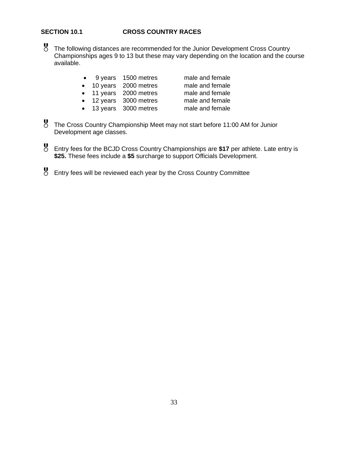### **SECTION 10.1 CROSS COUNTRY RACES**

- The following distances are recommended for the Junior Development Cross Country Championships ages 9 to 13 but these may vary depending on the location and the course available.
	- 9 years 1500 metres male and female
	- 10 years 2000 metres male and female
	- 11 years 2000 metres male and female
	- 12 years 3000 metres male and female
	- 13 years 3000 metres male and female

- 
- 
- 
- The Cross Country Championship Meet may not start before 11:00 AM for Junior Development age classes.
- Entry fees for the BCJD Cross Country Championships are **\$17** per athlete. Late entry is **\$25.** These fees include a **\$5** surcharge to support Officials Development.
- Entry fees will be reviewed each year by the Cross Country Committee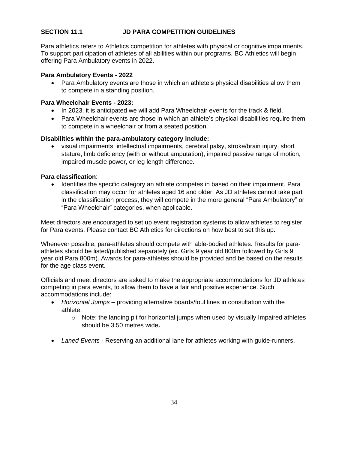## **SECTION 11.1 JD PARA COMPETITION GUIDELINES**

Para athletics refers to Athletics competition for athletes with physical or cognitive impairments. To support participation of athletes of all abilities within our programs, BC Athletics will begin offering Para Ambulatory events in 2022.

#### **Para Ambulatory Events - 2022**

• Para Ambulatory events are those in which an athlete's physical disabilities allow them to compete in a standing position.

#### **Para Wheelchair Events - 2023:**

- In 2023, it is anticipated we will add Para Wheelchair events for the track & field.
- Para Wheelchair events are those in which an athlete's physical disabilities require them to compete in a wheelchair or from a seated position.

#### **Disabilities within the para-ambulatory category include:**

• visual impairments, intellectual impairments, cerebral palsy, stroke/brain injury, short stature, limb deficiency (with or without amputation), impaired passive range of motion, impaired muscle power, or leg length difference.

#### **Para classification**:

Identifies the specific category an athlete competes in based on their impairment. Para classification may occur for athletes aged 16 and older. As JD athletes cannot take part in the classification process, they will compete in the more general "Para Ambulatory" or "Para Wheelchair" categories, when applicable.

Meet directors are encouraged to set up event registration systems to allow athletes to register for Para events. Please contact BC Athletics for directions on how best to set this up.

Whenever possible, para-athletes should compete with able-bodied athletes. Results for paraathletes should be listed/published separately (ex. Girls 9 year old 800m followed by Girls 9 year old Para 800m). Awards for para-athletes should be provided and be based on the results for the age class event.

Officials and meet directors are asked to make the appropriate accommodations for JD athletes competing in para events, to allow them to have a fair and positive experience. Such accommodations include:

- *Horizontal Jumps* providing alternative boards/foul lines in consultation with the athlete.
	- $\circ$  Note: the landing pit for horizontal jumps when used by visually Impaired athletes should be 3.50 metres wide**.**
- *Laned Events* Reserving an additional lane for athletes working with guide-runners.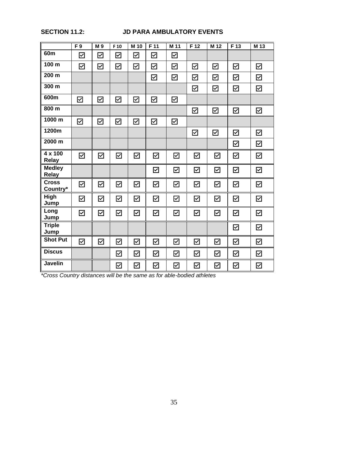## **SECTION 11.2: JD PARA AMBULATORY EVENTS**

|                               | F9                    | M <sub>9</sub>        | F <sub>10</sub>      | M 10                 | F 11                                | M 11                    | F 12                    | M 12                    | F 13                    | M 13                    |
|-------------------------------|-----------------------|-----------------------|----------------------|----------------------|-------------------------------------|-------------------------|-------------------------|-------------------------|-------------------------|-------------------------|
| 60 <sub>m</sub>               | $\blacktriangledown$  | ☑                     | ☑                    | ☑                    | ☑                                   | ☑                       |                         |                         |                         |                         |
| 100 m                         | $\overline{\leq}$     | $\boxtimes$           | $\boxtimes$          | $\boxtimes$          | $\boxdot$                           | $\boxtimes$             | $\boxtimes$             | ☑                       | ☑                       | ☑                       |
| 200 m                         |                       |                       |                      |                      | ☑                                   | ☑                       | ☑                       | ☑                       | ☑                       | ☑                       |
| 300 m                         |                       |                       |                      |                      |                                     |                         | $\overline{\mathbf{Y}}$ | $\boxtimes$             | $\boxtimes$             | $\boxtimes$             |
| 600m                          | ☑                     | ☑                     | ☑                    | ☑                    | ☑                                   | ☑                       |                         |                         |                         |                         |
| 800 m                         |                       |                       |                      |                      |                                     |                         | $\overline{\mathsf{M}}$ | $\overline{\leq}$       | $\overline{\leq}$       | $\overline{\mathbb{Y}}$ |
| 1000 m                        | ☑                     | $\triangleright$      | ☑                    | $\triangleright$     | ☑                                   | ☑                       |                         |                         |                         |                         |
| 1200m                         |                       |                       |                      |                      |                                     |                         | ☑                       | ☑                       | ☑                       | ☑                       |
| 2000 m                        |                       |                       |                      |                      |                                     |                         |                         |                         | ☑                       | $\boxtimes$             |
| 4 x 100<br><b>Relay</b>       | $\blacktriangledown$  | ☑                     | ☑                    | $\overline{\leq}$    | $\overline{\vee}$                   | $\overline{\leq}$       | ☑                       | $\overline{\vee}$       | ☑                       | ☑                       |
| <b>Medley</b><br><b>Relay</b> |                       |                       |                      |                      | $\blacktriangledown$                | $\overline{\leq}$       | $\boxtimes$             | $\blacktriangleright$   | ☑                       | ☑                       |
| <b>Cross</b><br>Country*      | $\blacktriangleright$ | $\blacktriangleright$ | $\overline{\leq}$    | $\boxtimes$          | $\blacktriangleright$               | $\blacktriangleright$   | $\overline{\textbf{Y}}$ | $\blacktriangleright$   | ☑                       | $\boxtimes$             |
| High<br>Jump                  | $\blacktriangledown$  | $\overline{\simeq}$   | $\overline{\leq}$    | $\blacktriangledown$ | $\overline{\vee}$                   | $\overline{\leq}$       | ☑                       | $\overline{\vee}$       | ☑                       | ☑                       |
| Long<br>Jump                  | $\overline{\leq}$     | $\overline{\leq}$     | $\overline{\leq}$    | $\overline{\leq}$    | $\overline{\leq}$                   | $\overline{\leq}$       | $\overline{\vee}$       | $\overline{\leq}$       | ☑                       | ☑                       |
| <b>Triple</b><br>Jump         |                       |                       |                      |                      |                                     |                         |                         |                         | ☑                       | $\boxtimes$             |
| <b>Shot Put</b>               | ☑                     | $\overline{\vee}$     | ☑                    | $\blacktriangledown$ | $\blacktriangledown$                | $\overline{\textbf{Y}}$ | ☑                       | $\boxdot$               | ☑                       | ☑                       |
| <b>Discus</b>                 |                       |                       | $\overline{\simeq}$  | $\overline{\leq}$    | $\overline{\underline{\checkmark}}$ | $\blacktriangleright$   | $\overline{\leq}$       | $\overline{\mathsf{S}}$ | ☑                       | ☑                       |
| Javelin                       |                       |                       | $\blacktriangledown$ | $\blacktriangledown$ | $\blacktriangledown$                | $\overline{\mathsf{S}}$ | $\overline{\leq}$       | $\blacktriangledown$    | $\overline{\mathsf{S}}$ | $\boxtimes$             |

*\*Cross Country distances will be the same as for able-bodied athletes*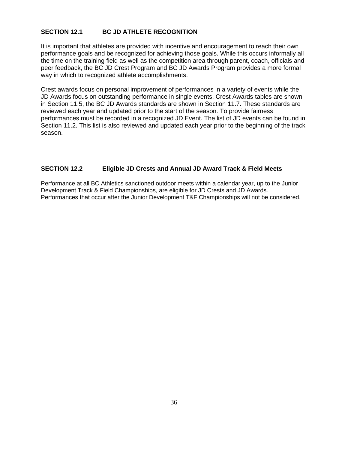## **SECTION 12.1 BC JD ATHLETE RECOGNITION**

It is important that athletes are provided with incentive and encouragement to reach their own performance goals and be recognized for achieving those goals. While this occurs informally all the time on the training field as well as the competition area through parent, coach, officials and peer feedback, the BC JD Crest Program and BC JD Awards Program provides a more formal way in which to recognized athlete accomplishments.

Crest awards focus on personal improvement of performances in a variety of events while the JD Awards focus on outstanding performance in single events. Crest Awards tables are shown in Section 11.5, the BC JD Awards standards are shown in Section 11.7. These standards are reviewed each year and updated prior to the start of the season. To provide fairness performances must be recorded in a recognized JD Event. The list of JD events can be found in Section 11.2. This list is also reviewed and updated each year prior to the beginning of the track season.

## **SECTION 12.2 Eligible JD Crests and Annual JD Award Track & Field Meets**

Performance at all BC Athletics sanctioned outdoor meets within a calendar year, up to the Junior Development Track & Field Championships, are eligible for JD Crests and JD Awards. Performances that occur after the Junior Development T&F Championships will not be considered.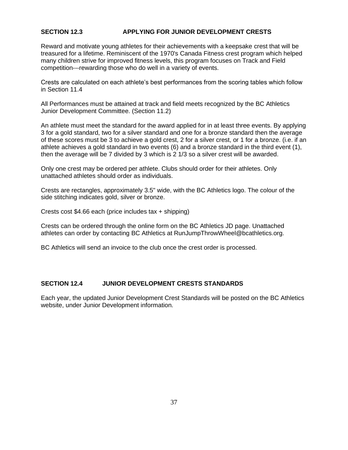## **SECTION 12.3 APPLYING FOR JUNIOR DEVELOPMENT CRESTS**

Reward and motivate young athletes for their achievements with a keepsake crest that will be treasured for a lifetime. Reminiscent of the 1970's Canada Fitness crest program which helped many children strive for improved fitness levels, this program focuses on Track and Field competition---rewarding those who do well in a variety of events.

Crests are calculated on each athlete's best performances from the scoring tables which follow in Section 11.4

All Performances must be attained at track and field meets recognized by the BC Athletics Junior Development Committee. (Section 11.2)

An athlete must meet the standard for the award applied for in at least three events. By applying 3 for a gold standard, two for a silver standard and one for a bronze standard then the average of these scores must be 3 to achieve a gold crest, 2 for a silver crest, or 1 for a bronze. (i.e. if an athlete achieves a gold standard in two events (6) and a bronze standard in the third event (1), then the average will be 7 divided by 3 which is 2 1/3 so a silver crest will be awarded.

Only one crest may be ordered per athlete. Clubs should order for their athletes. Only unattached athletes should order as individuals.

Crests are rectangles, approximately 3.5" wide, with the BC Athletics logo. The colour of the side stitching indicates gold, silver or bronze.

Crests cost \$4.66 each (price includes tax + shipping)

Crests can be ordered through the online form on the BC Athletics JD page. Unattached athletes can order by contacting BC Athletics at RunJumpThrowWheel@bcathletics.org.

BC Athletics will send an invoice to the club once the crest order is processed.

#### **SECTION 12.4 JUNIOR DEVELOPMENT CRESTS STANDARDS**

Each year, the updated Junior Development Crest Standards will be posted on the BC Athletics website, under Junior Development information.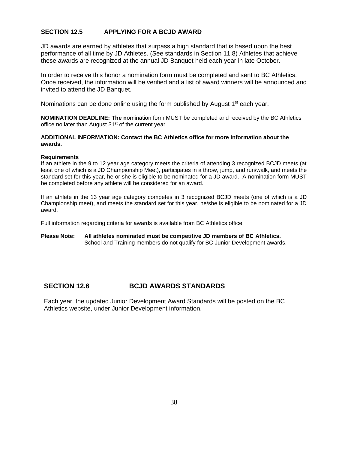### **SECTION 12.5 APPLYING FOR A BCJD AWARD**

JD awards are earned by athletes that surpass a high standard that is based upon the best performance of all time by JD Athletes. (See standards in Section 11.8) Athletes that achieve these awards are recognized at the annual JD Banquet held each year in late October.

In order to receive this honor a nomination form must be completed and sent to BC Athletics. Once received, the information will be verified and a list of award winners will be announced and invited to attend the JD Banquet.

Nominations can be done online using the form published by August  $1<sup>st</sup>$  each year.

**NOMINATION DEADLINE: The n**omination form MUST be completed and received by the BC Athletics office no later than August 31<sup>st</sup> of the current year.

#### **ADDITIONAL INFORMATION: Contact the BC Athletics office for more information about the awards.**

#### **Requirements**

If an athlete in the 9 to 12 year age category meets the criteria of attending 3 recognized BCJD meets (at least one of which is a JD Championship Meet), participates in a throw, jump, and run/walk, and meets the standard set for this year, he or she is eligible to be nominated for a JD award. A nomination form MUST be completed before any athlete will be considered for an award.

If an athlete in the 13 year age category competes in 3 recognized BCJD meets (one of which is a JD Championship meet), and meets the standard set for this year, he/she is eligible to be nominated for a JD award.

Full information regarding criteria for awards is available from BC Athletics office.

#### **Please Note: All athletes nominated must be competitive JD members of BC Athletics.**  School and Training members do not qualify for BC Junior Development awards.

#### **SECTION 12.6 BCJD AWARDS STANDARDS**

Each year, the updated Junior Development Award Standards will be posted on the BC Athletics website, under Junior Development information.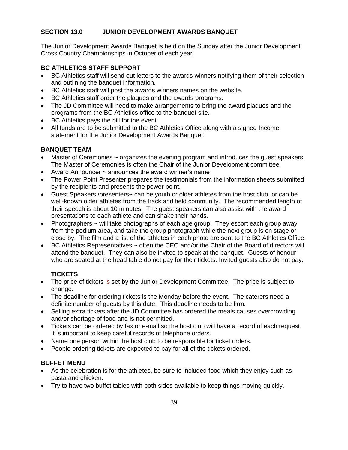## **SECTION 13.0 JUNIOR DEVELOPMENT AWARDS BANQUET**

The Junior Development Awards Banquet is held on the Sunday after the Junior Development Cross Country Championships in October of each year.

## **BC ATHLETICS STAFF SUPPORT**

- BC Athletics staff will send out letters to the awards winners notifying them of their selection and outlining the banquet information.
- BC Athletics staff will post the awards winners names on the website.
- BC Athletics staff order the plaques and the awards programs.
- The JD Committee will need to make arrangements to bring the award plaques and the programs from the BC Athletics office to the banquet site.
- BC Athletics pays the bill for the event.
- All funds are to be submitted to the BC Athletics Office along with a signed Income statement for the Junior Development Awards Banquet.

## **BANQUET TEAM**

- Master of Ceremonies  $\sim$  organizes the evening program and introduces the quest speakers. The Master of Ceremonies is often the Chair of the Junior Development committee.
- Award Announcer ~ announces the award winner's name
- The Power Point Presenter prepares the testimonials from the information sheets submitted by the recipients and presents the power point.
- Guest Speakers /presenters~ can be youth or older athletes from the host club, or can be well-known older athletes from the track and field community. The recommended length of their speech is about 10 minutes. The guest speakers can also assist with the award presentations to each athlete and can shake their hands.
- Photographers  $\sim$  will take photographs of each age group. They escort each group away from the podium area, and take the group photograph while the next group is on stage or close by. The film and a list of the athletes in each photo are sent to the BC Athletics Office.
- BC Athletics Representatives ~ often the CEO and/or the Chair of the Board of directors will attend the banquet. They can also be invited to speak at the banquet. Guests of honour who are seated at the head table do not pay for their tickets. Invited guests also do not pay.

## **TICKETS**

- The price of tickets is set by the Junior Development Committee. The price is subject to change.
- The deadline for ordering tickets is the Monday before the event. The caterers need a definite number of guests by this date. This deadline needs to be firm.
- Selling extra tickets after the JD Committee has ordered the meals causes overcrowding and/or shortage of food and is not permitted.
- Tickets can be ordered by fax or e-mail so the host club will have a record of each request. It is important to keep careful records of telephone orders.
- Name one person within the host club to be responsible for ticket orders.
- People ordering tickets are expected to pay for all of the tickets ordered.

## **BUFFET MENU**

- As the celebration is for the athletes, be sure to included food which they enjoy such as pasta and chicken.
- Try to have two buffet tables with both sides available to keep things moving quickly.